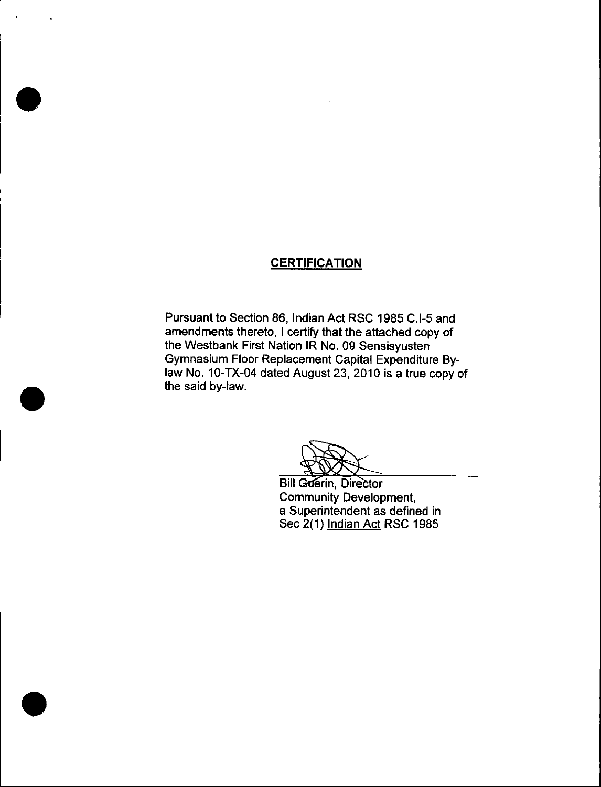### **CERTIFICATION**

Pursuant to Section 86, Indian Act RSC 1985 C.I-5 and amendments thereto, I certify that the attached copy of the Westbank First Nation IR No. 09 Sensisyusten Gymnasium Floor Replacement Capital Expenditure Bylaw No. 10-TX-04 dated August 23, 2010 is a true copy of the said by-law.

**Bill Guerin, Director** Community Development, a Superintendent as defined in Sec 2(1) Indian Act RSC 1985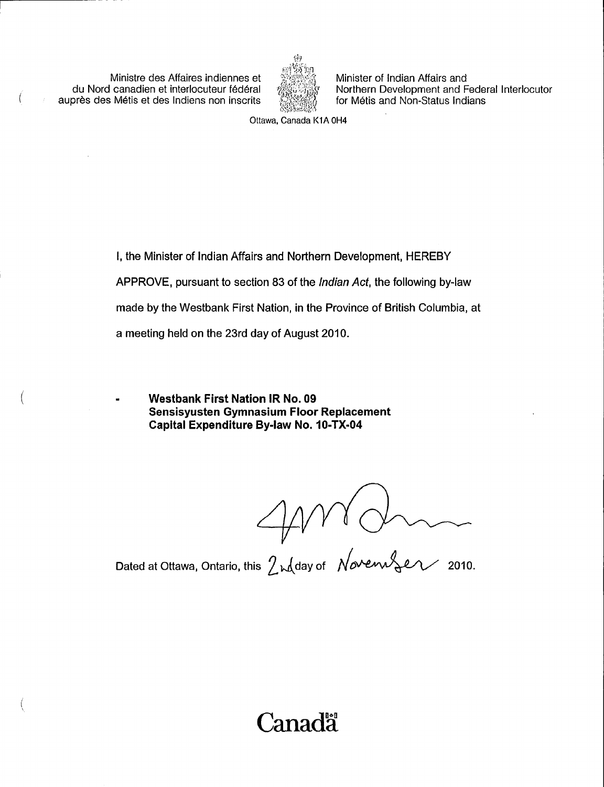Ministre des Affaires indiennes et du Nord canadien et interlocuteur fédéral auprès des Métis et des Indiens non inscrits



Minister of Indian Affairs and Northern Development and Federal Interlocutor for Métis and Non-Status Indians

Ottawa, Canada K1A OH4

I, the Minister of Indian Affairs and Northern Development, HEREBY APPROVE, pursuant to section 83 of the Indian Act, the following by -law made by the Westbank First Nation, in the Province of British Columbia, at a meeting held on the 23rd day of August 2010.

Westbank First Nation IR No. 09 Sensisyusten Gymnasium Floor Replacement Capital Expenditure By-law No. 10-TX-04

 $\bigcirc$  Dated at Ottawa, Ontario, this  $\bigcirc$  red day of November 2010.

**Canada**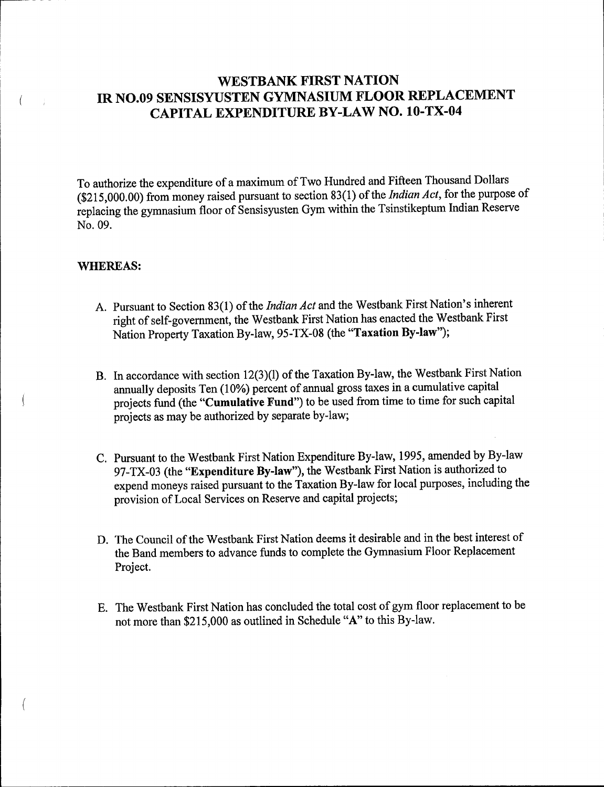### WESTBANK FIRST NATION IR NO.09 SENSISYUSTEN GYMNASIUM FLOOR REPLACEMENT CAPITAL EXPENDITURE BY -LAW NO. 10 -TX -04

To authorize the expenditure of a maximum of Two Hundred and Fifteen Thousand Dollars  $(215,000.00)$  from money raised pursuant to section 83(1) of the *Indian Act*, for the purpose of replacing the gymnasium floor of Sensisyusten Gym within the Tsinstikeptum Indian Reserve No. 09.

#### WHEREAS:

 $\left($ 

- A. Pursuant to Section 83(1) of the *Indian Act* and the Westbank First Nation's inherent right of self-government, the Westbank First Nation has enacted the Westbank First Nation Property Taxation By-law, 95-TX-08 (the "Taxation By-law");
- B. In accordance with section 12(3)(1) of the Taxation By-law, the Westbank First Nation annually deposits Ten (10%) percent of annual gross taxes in a cumulative capital projects fund (the "Cumulative Fund") to be used from time to time for such capital projects as may be authorized by separate by -law;
- C. Pursuant to the Westbank First Nation Expenditure By -law, 1995, amended by By -law 97-TX-03 (the "Expenditure By-law"), the Westbank First Nation is authorized to expend moneys raised pursuant to the Taxation By -law for local purposes, including the provision of Local Services on Reserve and capital projects;
- D. The Council of the Westbank First Nation deems it desirable and in the best interest of the Band members to advance funds to complete the Gymnasium Floor Replacement Project.
- E. The Westbank First Nation has concluded the total cost of gym floor replacement to be not more than \$215, 000 as outlined in Schedule " A" to this By -law.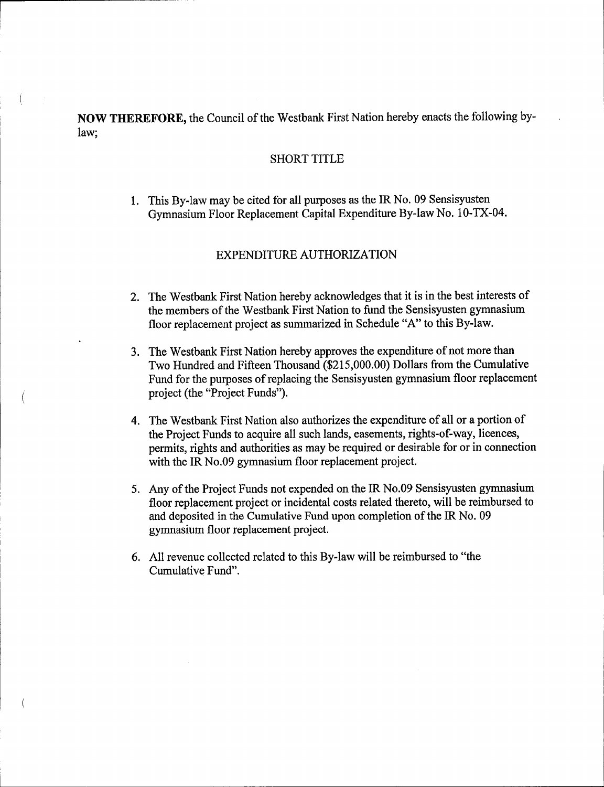NOW THEREFORE, the Council of the Westbank First Nation hereby enacts the following bylaw;

 $\left($ 

#### SHORT TITLE

1. This By -law may be cited for all purposes as the IR No. 09 Sensisyusten Gymnasium Floor Replacement Capital Expenditure By-law No. 10-TX-04.

### EXPENDITURE AUTHORIZATION

- 2. The Westbank First Nation hereby acknowledges that it is in the best interests of the members of the Westbank First Nation to fund the Sensisyusten gymnasium floor replacement project as summarized in Schedule "A" to this By-law.
- 3. The Westbank First Nation hereby approves the expenditure of not more than Two Hundred and Fifteen Thousand (\$215,000.00) Dollars from the Cumulative Fund for the purposes of replacing the Sensisyusten gymnasium floor replacement project (the "Project Funds").
- 4. The Westbank First Nation also authorizes the expenditure of all or <sup>a</sup> portion of the Project Funds to acquire all such lands, easements, rights-of-way, licences, permits, rights and authorities as may be required or desirable for or in connection with the IR No.09 gymnasium floor replacement project.
- 5. Any of the Project Funds not expended on the IR No.09 Sensisyusten gymnasium floor replacement project or incidental costs related thereto, will be reimbursed to and deposited in the Cumulative Fund upon completion of the IR No. 09 gymnasium floor replacement project.
- 6. All revenue collected related to this By -law will be reimbursed to " the Cumulative Fund".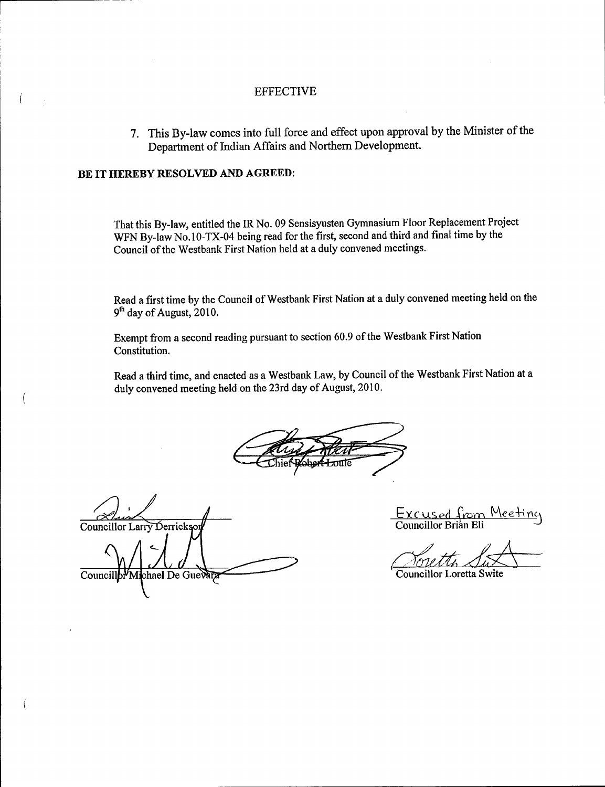#### EFFECTIVE

7. This By -law comes into full force and effect upon approval by the Minister of the Department of Indian Affairs and Northern Development.

### BE IT HEREBY RESOLVED AND AGREED:

 $\overline{ }$ 

That this By -law, entitled the IR No. 09 Sensisyusten Gymnasium Floor Replacement Project WFN By-law No.10-TX-04 being read for the first, second and third and final time by the Council of the Westbank First Nation held at <sup>a</sup> duly convened meetings.

Read <sup>a</sup> first time by the Council of Westbank First Nation at a duly convened meeting held on the  $9<sup>th</sup>$  day of August, 2010.

Exempt from a second reading pursuant to section 60.9 of the Westbank First Nation Constitution.

Read <sup>a</sup> third time, and enacted as <sup>a</sup> Westbank Law, by Council of the Westbank First Nation at <sup>a</sup> duly convened meeting held on the 23rd day of August, 2010.

Councillor Larry Derricks

Councill b<sup>y</sup> Michael De Guevara

Excused from Meeting<br>Councillor Brian Eli Councillor Brian Eli

Councillor Loretta Swite